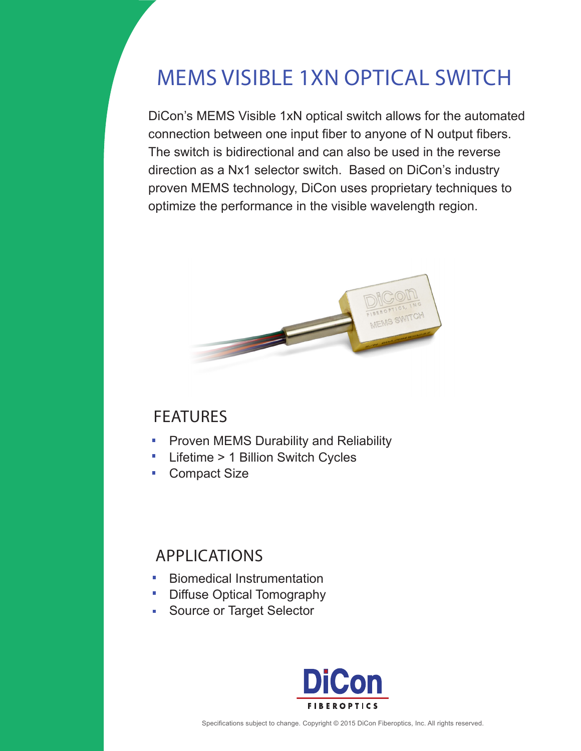# MEMS VISIBLE 1XN OPTICAL SWITCH

DiCon's MEMS Visible 1xN optical switch allows for the automated connection between one input fiber to anyone of N output fibers. The switch is bidirectional and can also be used in the reverse direction as a Nx1 selector switch. Based on DiCon's industry proven MEMS technology, DiCon uses proprietary techniques to optimize the performance in the visible wavelength region.



## FEATURES

- Proven MEMS Durability and Reliability  $\overline{\phantom{a}}$
- $\overline{\phantom{a}}$ Lifetime > 1 Billion Switch Cycles
- $\mathbf{r}$ Compact Size

# APPLICATIONS

- Biomedical Instrumentation m.
- H. Diffuse Optical Tomography
- Source or Target Selector  $\mathbf{m}$